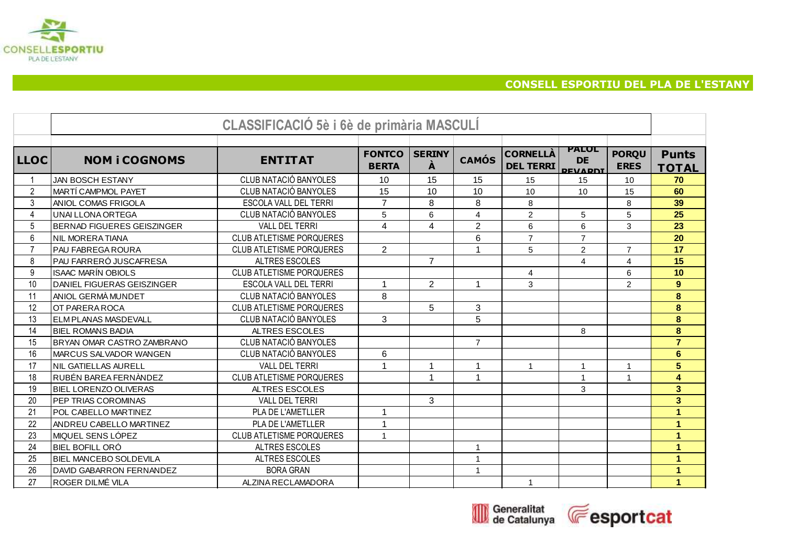

## **CONSELL ESPORTIU DEL PLA DE L'ESTANY**

|                |                                | CLASSIFICACIÓ 5è i 6è de primària MASCULÍ |                               |                    |                         |                                     |                                             |                             |                              |
|----------------|--------------------------------|-------------------------------------------|-------------------------------|--------------------|-------------------------|-------------------------------------|---------------------------------------------|-----------------------------|------------------------------|
|                |                                |                                           |                               |                    |                         |                                     |                                             |                             |                              |
| <b>LLOC</b>    | <b>NOM i COGNOMS</b>           | <b>ENTITAT</b>                            | <b>FONTCO</b><br><b>BERTA</b> | <b>SERINY</b><br>À | <b>CAMÓS</b>            | <b>CORNELLA</b><br><b>DEL TERRI</b> | <b>PALOL</b><br><b>DE</b><br><b>DEVADDI</b> | <b>PORQU</b><br><b>ERES</b> | <b>Punts</b><br><b>TOTAL</b> |
|                | JAN BOSCH ESTANY               | CLUB NATACIÓ BANYOLES                     | 10                            | 15                 | 15                      | 15                                  | 15                                          | 10                          | 70                           |
| $\overline{2}$ | MARTÍ CAMPMOL PAYET            | CLUB NATACIÓ BANYOLES                     | 15                            | 10                 | 10                      | 10                                  | 10                                          | 15                          | 60                           |
| 3              | ANIOL COMAS FRIGOLA            | ESCOLA VALL DEL TERRI                     | $\overline{7}$                | 8                  | 8                       | 8                                   |                                             | 8                           | 39                           |
| $\overline{4}$ | <b>UNAI LLONA ORTEGA</b>       | CLUB NATACIÓ BANYOLES                     | 5                             | 6                  | $\overline{\mathbf{4}}$ | $\overline{2}$                      | 5                                           | 5                           | $\overline{25}$              |
| 5              | BERNAD FIGUERES GEISZINGER     | <b>VALL DEL TERRI</b>                     | 4                             | $\overline{4}$     | $\overline{2}$          | 6                                   | 6                                           | 3                           | 23                           |
| 6              | NIL MORERA TIANA               | <b>CLUB ATLETISME PORQUERES</b>           |                               |                    | 6                       | $\overline{7}$                      | $\overline{7}$                              |                             | 20                           |
| $\overline{7}$ | IPAU FABREGA ROURA             | <b>CLUB ATLETISME PORQUERES</b>           | $\overline{2}$                |                    | 1                       | 5                                   | $\overline{c}$                              | $\overline{7}$              | 17                           |
| 8              | PAU FARRERÓ JUSCAFRESA         | <b>ALTRES ESCOLES</b>                     |                               | $\overline{7}$     |                         |                                     | 4                                           | 4                           | 15                           |
| 9              | ISAAC MARÍN OBIOLS             | <b>CLUB ATLETISME PORQUERES</b>           |                               |                    |                         | $\overline{4}$                      |                                             | 6                           | 10                           |
| 10             | DANIEL FIGUERAS GEISZINGER     | ESCOLA VALL DEL TERRI                     | $\mathbf 1$                   | $\overline{2}$     | $\mathbf{1}$            | 3                                   |                                             | $\overline{c}$              | 9                            |
| 11             | ANIOL GERMÀ MUNDET             | CLUB NATACIÓ BANYOLES                     | 8                             |                    |                         |                                     |                                             |                             | 8                            |
| 12             | OT PARERA ROCA                 | <b>CLUB ATLETISME PORQUERES</b>           |                               | 5                  | 3                       |                                     |                                             |                             | 8                            |
| 13             | ELM PLANAS MASDEVALL           | CLUB NATACIÓ BANYOLES                     | 3                             |                    | 5                       |                                     |                                             |                             | 8                            |
| 14             | <b>BIEL ROMANS BADIA</b>       | ALTRES ESCOLES                            |                               |                    |                         |                                     | 8                                           |                             | 8                            |
| 15             | BRYAN OMAR CASTRO ZAMBRANO     | CLUB NATACIÓ BANYOLES                     |                               |                    | $\overline{7}$          |                                     |                                             |                             | $\overline{7}$               |
| 16             | MARCUS SALVADOR WANGEN         | CLUB NATACIÓ BANYOLES                     | 6                             |                    |                         |                                     |                                             |                             | $6\phantom{a}$               |
| 17             | INIL GATIELLAS AURELL          | <b>VALL DEL TERRI</b>                     | 1                             |                    | 1                       | $\overline{\mathbf{1}}$             | 1                                           | -1                          | 5                            |
| 18             | IRUBÉN BAREA FERNÀNDEZ         | <b>CLUB ATLETISME PORQUERES</b>           |                               | $\overline{A}$     | $\overline{1}$          |                                     | 1                                           | $\overline{1}$              | 4                            |
| 19             | <b>BIEL LORENZO OLIVERAS</b>   | ALTRES ESCOLES                            |                               |                    |                         |                                     | 3                                           |                             | $\overline{\mathbf{3}}$      |
| 20             | PEP TRIAS COROMINAS            | <b>VALL DEL TERRI</b>                     |                               | 3                  |                         |                                     |                                             |                             | 3 <sup>2</sup>               |
| 21             | POL CABELLO MARTINEZ           | PLA DE L'AMETLLER                         | $\mathbf{1}$                  |                    |                         |                                     |                                             |                             | 1                            |
| 22             | ANDREU CABELLO MARTINEZ        | PLA DE L'AMETLLER                         | $\mathbf{1}$                  |                    |                         |                                     |                                             |                             | 1                            |
| 23             | IMIQUEL SENS LÓPEZ             | <b>CLUB ATLETISME PORQUERES</b>           | $\mathbf{1}$                  |                    |                         |                                     |                                             |                             | 1                            |
| 24             | IBIEL BOFILL ORÓ               | ALTRES ESCOLES                            |                               |                    | $\mathbf{1}$            |                                     |                                             |                             | 1                            |
| 25             | <b>IBIEL MANCEBO SOLDEVILA</b> | ALTRES ESCOLES                            |                               |                    | $\mathbf{1}$            |                                     |                                             |                             | 1                            |
| 26             | DAVID GABARRON FERNANDEZ       | <b>BORA GRAN</b>                          |                               |                    | $\mathbf{1}$            |                                     |                                             |                             | 1                            |
| 27             | ROGER DILMÉ VILA               | ALZINA RECLAMADORA                        |                               |                    |                         | 1                                   |                                             |                             | 1                            |



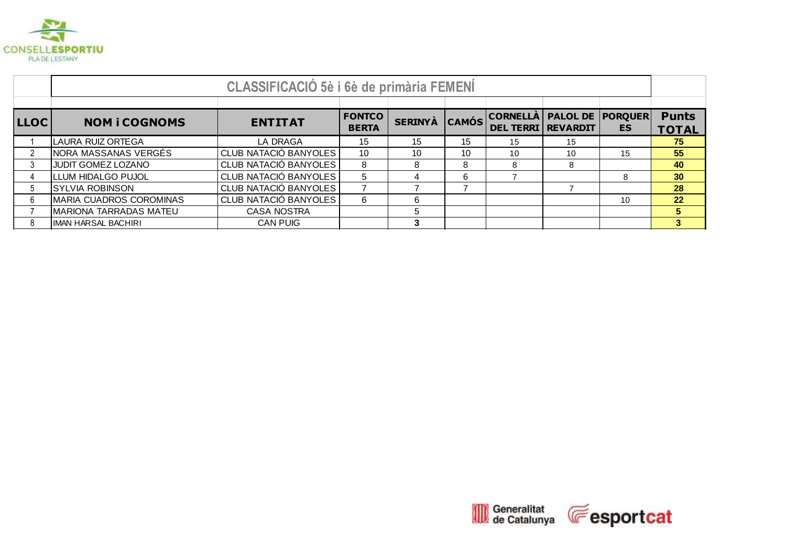

|               | <b>CLASSIFICACIÓ 5è i 6è de primària FEMENÍ</b> |                       |                               |                |    |                                             |                         |           |                              |  |  |
|---------------|-------------------------------------------------|-----------------------|-------------------------------|----------------|----|---------------------------------------------|-------------------------|-----------|------------------------------|--|--|
|               |                                                 |                       |                               |                |    |                                             |                         |           |                              |  |  |
| <b>LLOC</b>   | <b>NOM i COGNOMS</b>                            | <b>ENTITAT</b>        | <b>FONTCO</b><br><b>BERTA</b> | <b>SERINYÀ</b> |    | CAMÓS CORNELLA<br><b>DEL TERRI REVARDIT</b> | <b>PALOL DE PORQUER</b> | <b>ES</b> | <b>Punts</b><br><b>TOTAL</b> |  |  |
|               | LAURA RUIZ ORTEGA                               | LA DRAGA              | 15                            | 15             | 15 | 15                                          | 15                      |           | 75                           |  |  |
| $\mathcal{P}$ | NORA MASSANAS VERGÉS                            | CLUB NATACIÓ BANYOLES | 10                            | 10             | 10 | 10                                          | 10                      | 15        | 55                           |  |  |
|               | JUDIT GOMEZ LOZANO                              | CLUB NATACIÓ BANYOLES | 8                             | 8              | 8  |                                             | 8                       |           | 40                           |  |  |
|               | LLUM HIDALGO PUJOL                              | CLUB NATACIÓ BANYOLES | 5                             |                | 6  |                                             |                         | 8         | 30 <sub>o</sub>              |  |  |
| 5             | <b>SYLVIA ROBINSON</b>                          | CLUB NATACIÓ BANYOLES |                               |                |    |                                             |                         |           | 28                           |  |  |
| 6             | MARIA CUADROS COROMINAS                         | CLUB NATACIÓ BANYOLES | 6                             | ี              |    |                                             |                         | 10        | 22 <sub>2</sub>              |  |  |
|               | MARIONA TARRADAS MATEU                          | <b>CASA NOSTRA</b>    |                               | 5              |    |                                             |                         |           | 5                            |  |  |
|               | IIMAN HARSAL BACHIRI                            | <b>CAN PUIG</b>       |                               | 3              |    |                                             |                         |           | 3                            |  |  |

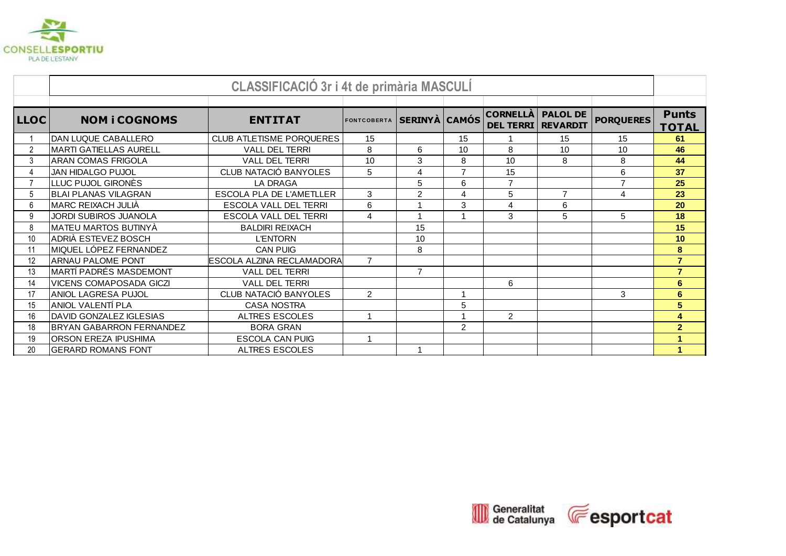

|                |                                 | CLASSIFICACIÓ 3r i 4t de primària MASCULÍ |                    |                      |                |                                              |                 |                  |                              |
|----------------|---------------------------------|-------------------------------------------|--------------------|----------------------|----------------|----------------------------------------------|-----------------|------------------|------------------------------|
|                |                                 |                                           |                    |                      |                |                                              |                 |                  |                              |
| <b>LLOC</b>    | <b>NOM i COGNOMS</b>            | <b>ENTITAT</b>                            | <b>FONTCOBERTA</b> | <b>SERINYÀ CAMÓS</b> |                | <b>CORNELLÀ</b><br><b>DEL TERRI REVARDIT</b> | <b>PALOL DE</b> | <b>PORQUERES</b> | <b>Punts</b><br><b>TOTAL</b> |
|                | DAN LUQUE CABALLERO             | <b>CLUB ATLETISME PORQUERES</b>           | 15                 |                      | 15             |                                              | 15              | 15               | 61                           |
| 2              | MARTI GATIELLAS AURELL          | <b>VALL DEL TERRI</b>                     | 8                  | 6                    | 10             | 8                                            | 10              | 10               | 46                           |
| 3              | <b>ARAN COMAS FRIGOLA</b>       | VALL DEL TERRI                            | 10                 | 3                    | 8              | 10                                           | 8               | 8                | 44                           |
|                | <b>JAN HIDALGO PUJOL</b>        | CLUB NATACIÓ BANYOLES                     | 5                  | 4                    | $\overline{7}$ | 15                                           |                 | 6                | 37                           |
| $\overline{7}$ | LLUC PUJOL GIRONÈS              | <b>LA DRAGA</b>                           |                    | 5                    | 6              | $\overline{7}$                               |                 | $\overline{7}$   | 25                           |
| 5              | <b>BLAI PLANAS VILAGRAN</b>     | ESCOLA PLA DE L'AMETLLER                  | 3                  | $\overline{2}$       | 4              | 5                                            | $\overline{7}$  | 4                | 23                           |
| 6              | MARC REIXACH JULIÀ              | <b>ESCOLA VALL DEL TERRI</b>              | 6                  |                      | 3              | $\overline{4}$                               | 6               |                  | 20                           |
| 9              | <b>JORDI SUBIROS JUANOLA</b>    | ESCOLA VALL DEL TERRI                     | $\overline{4}$     |                      | 1              | 3                                            | 5               | 5                | 18                           |
| 8              | MATEU MARTOS BUTINYÀ            | <b>BALDIRI REIXACH</b>                    |                    | 15                   |                |                                              |                 |                  | 15                           |
| 10             | ADRIÀ ESTEVEZ BOSCH             | <b>L'ENTORN</b>                           |                    | 10                   |                |                                              |                 |                  | 10                           |
| 11             | MIQUEL LÓPEZ FERNANDEZ          | <b>CAN PUIG</b>                           |                    | 8                    |                |                                              |                 |                  | 8                            |
| 12             | ARNAU PALOME PONT               | ESCOLA ALZINA RECLAMADORA                 | $\overline{7}$     |                      |                |                                              |                 |                  | $\overline{7}$               |
| 13             | <b>MARTI PADRÉS MASDEMONT</b>   | <b>VALL DEL TERRI</b>                     |                    | $\overline{7}$       |                |                                              |                 |                  | $\overline{7}$               |
| 14             | VICENS COMAPOSADA GICZI         | VALL DEL TERRI                            |                    |                      |                | 6                                            |                 |                  | $6\phantom{a}$               |
| 17             | ANIOL LAGRESA PUJOL             | CLUB NATACIÓ BANYOLES                     | $\overline{2}$     |                      | 1              |                                              |                 | 3                | 6                            |
| 15             | ANIOL VALENTÍ PLA               | <b>CASA NOSTRA</b>                        |                    |                      | 5              |                                              |                 |                  | 5                            |
| 16             | DAVID GONZALEZ IGLESIAS         | <b>ALTRES ESCOLES</b>                     | $\overline{ }$     |                      | 1              | 2                                            |                 |                  | 4                            |
| 18             | <b>BRYAN GABARRON FERNANDEZ</b> | <b>BORA GRAN</b>                          |                    |                      | $\overline{2}$ |                                              |                 |                  | $\overline{2}$               |
| 19             | <b>ORSON EREZA IPUSHIMA</b>     | <b>ESCOLA CAN PUIG</b>                    | 1                  |                      |                |                                              |                 |                  | 1                            |
| 20             | <b>GERARD ROMANS FONT</b>       | <b>ALTRES ESCOLES</b>                     |                    |                      |                |                                              |                 |                  |                              |

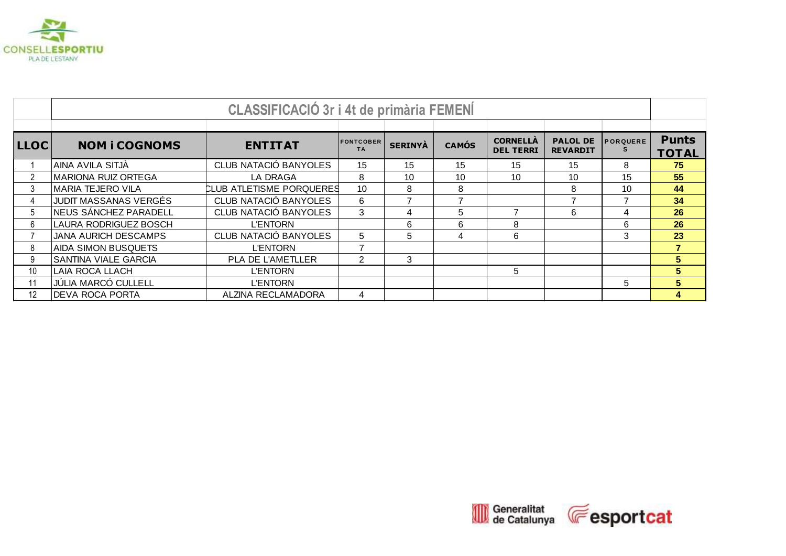

|                 | <b>CLASSIFICACIÓ 3r i 4t de primària FEMENÍ</b> |                          |                               |                |                |                                     |                                    |                 |                              |  |
|-----------------|-------------------------------------------------|--------------------------|-------------------------------|----------------|----------------|-------------------------------------|------------------------------------|-----------------|------------------------------|--|
| <b>LLOC</b>     | <b>NOM i COGNOMS</b>                            | <b>ENTITAT</b>           | <b>FONTCOBER</b><br><b>TA</b> | <b>SERINYÀ</b> | <b>CAMÓS</b>   | <b>CORNELLÀ</b><br><b>DEL TERRI</b> | <b>PALOL DE</b><br><b>REVARDIT</b> | <b>PORQUERE</b> | <b>Punts</b><br><b>TOTAL</b> |  |
|                 | AINA AVILA SITJÀ                                | CLUB NATACIÓ BANYOLES    | 15                            | 15             | 15             | 15                                  | 15                                 | 8               | 75                           |  |
|                 | <b>MARIONA RUIZ ORTEGA</b>                      | LA DRAGA                 | 8                             | 10             | 10             | 10                                  | 10                                 | 15              | 55                           |  |
|                 | <b>MARIA TEJERO VILA</b>                        | CLUB ATLETISME PORQUERES | 10                            | 8              | 8              |                                     | 8                                  | 10              | 44                           |  |
| $\overline{4}$  | JUDIT MASSANAS VERGÉS                           | CLUB NATACIÓ BANYOLES    | 6                             | 7              | $\overline{ }$ |                                     | ⇁                                  | 7               | 34                           |  |
| 5               | NEUS SÁNCHEZ PARADELL                           | CLUB NATACIÓ BANYOLES    | 3                             | 4              | 5              | 7                                   | 6                                  | 4               | 26                           |  |
| 6               | <b>LAURA RODRIGUEZ BOSCH</b>                    | <b>L'ENTORN</b>          |                               | 6              | 6              | 8                                   |                                    | 6               | 26                           |  |
|                 | <b>JANA AURICH DESCAMPS</b>                     | CLUB NATACIÓ BANYOLES    | 5                             | 5              | 4              | 6                                   |                                    | 3               | 23                           |  |
| 8               | <b>AIDA SIMON BUSQUETS</b>                      | <b>L'ENTORN</b>          |                               |                |                |                                     |                                    |                 | $\overline{7}$               |  |
| 9               | <b>SANTINA VIALE GARCIA</b>                     | <b>PLA DE L'AMETLLER</b> | $\overline{2}$                | 3              |                |                                     |                                    |                 | 5 <sup>1</sup>               |  |
| 10 <sup>°</sup> | LAIA ROCA LLACH                                 | <b>L'ENTORN</b>          |                               |                |                | 5                                   |                                    |                 | 5                            |  |
| 11              | <b>JÚLIA MARCÓ CULLELL</b>                      | <b>L'ENTORN</b>          |                               |                |                |                                     |                                    | 5               | 5                            |  |
| 12              | <b>DEVA ROCA PORTA</b>                          | ALZINA RECLAMADORA       | 4                             |                |                |                                     |                                    |                 | 4                            |  |

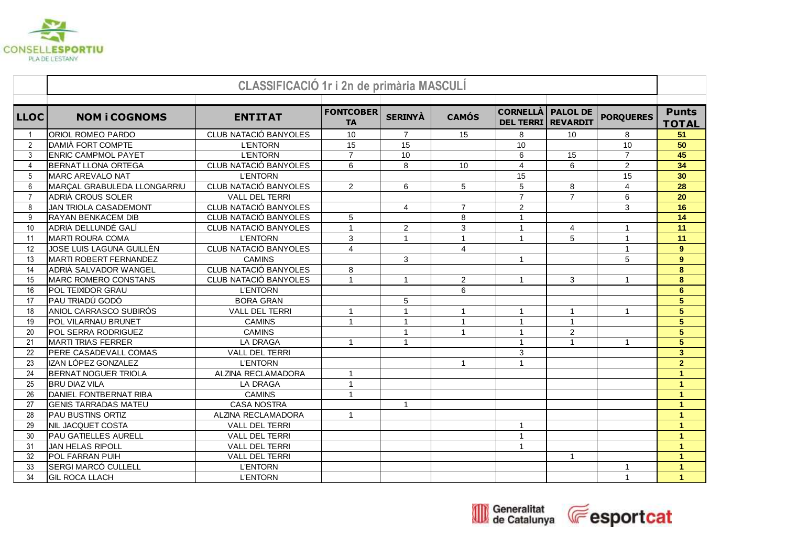

|                 |                              | <b>CLASSIFICACIÓ 1r i 2n de primària MASCULÍ</b> |                               |                      |                         |                                              |                 |                  |                              |
|-----------------|------------------------------|--------------------------------------------------|-------------------------------|----------------------|-------------------------|----------------------------------------------|-----------------|------------------|------------------------------|
| <b>LLOC</b>     | <b>NOM i COGNOMS</b>         | <b>ENTITAT</b>                                   | <b>FONTCOBER</b><br><b>TA</b> | <b>SERINYÀ</b>       | <b>CAMÓS</b>            | <b>CORNELLÀ PALOL DE</b><br><b>DEL TERRI</b> | <b>REVARDIT</b> | <b>PORQUERES</b> | <b>Punts</b><br><b>TOTAL</b> |
|                 | <b>ORIOL ROMEO PARDO</b>     | CLUB NATACIÓ BANYOLES                            | 10                            | $\overline{7}$       | 15                      | 8                                            | 10              | 8                | 51                           |
| $\overline{2}$  | DAMIÀ FORT COMPTE            | <b>L'ENTORN</b>                                  | $\overline{15}$               | $\overline{15}$      |                         | 10                                           |                 | 10               | 50                           |
| 3               | <b>ENRIC CAMPMOL PAYET</b>   | <b>L'ENTORN</b>                                  | $\overline{7}$                | 10                   |                         | 6                                            | 15              | $\overline{7}$   | 45                           |
| 4               | <b>BERNAT LLONA ORTEGA</b>   | CLUB NATACIÓ BANYOLES                            | 6                             | 8                    | 10                      | 4                                            | 6               | $\overline{2}$   | 34                           |
| 5               | MARC AREVALO NAT             | <b>L'ENTORN</b>                                  |                               |                      |                         | 15                                           |                 | 15               | 30                           |
| 6               | MARCAL GRABULEDA LLONGARRIU  | <b>CLUB NATACIÓ BANYOLES</b>                     | 2                             | 6                    | 5                       | 5                                            | 8               | $\overline{4}$   | 28                           |
| $\overline{7}$  | <b>ADRIÀ CROUS SOLER</b>     | <b>VALL DEL TERRI</b>                            |                               |                      |                         | $\overline{7}$                               | $\overline{7}$  | 6                | 20                           |
| 8               | JAN TRIOLA CASADEMONT        | CLUB NATACIÓ BANYOLES                            |                               | $\overline{4}$       | $\overline{7}$          | $\overline{c}$                               |                 | $\mathfrak{Z}$   | 16                           |
| 9               | RAYAN BENKACEM DIB           | CLUB NATACIÓ BANYOLES                            | 5                             |                      | 8                       | $\mathbf 1$                                  |                 |                  | 14                           |
| 10 <sup>1</sup> | ADRIÀ DELLUNDÉ GALÍ          | CLUB NATACIÓ BANYOLES                            | $\overline{1}$                | $\overline{2}$       | 3                       | $\mathbf{1}$                                 | $\overline{4}$  | $\mathbf 1$      | 11                           |
| 11              | MARTI ROURA COMA             | <b>L'ENTORN</b>                                  | 3                             | $\mathbf{1}$         | $\mathbf{1}$            | $\overline{1}$                               | 5               | $\overline{1}$   | 11                           |
| 12              | JOSE LUIS LAGUNA GUILLÉN     | <b>CLUB NATACIÓ BANYOLES</b>                     | $\overline{4}$                |                      | $\overline{\mathbf{4}}$ |                                              |                 | $\overline{1}$   | $\overline{9}$               |
| 13              | MARTI ROBERT FERNANDEZ       | <b>CAMINS</b>                                    |                               | 3                    |                         | $\mathbf{1}$                                 |                 | 5                | $\overline{9}$               |
| 14              | ADRIÀ SALVADOR WANGEL        | CLUB NATACIÓ BANYOLES                            | 8                             |                      |                         |                                              |                 |                  | 8                            |
| 15              | MARC ROMERO CONSTANS         | <b>CLUB NATACIÓ BANYOLES</b>                     | $\overline{1}$                | $\mathbf{1}$         | 2                       | $\mathbf{1}$                                 | 3               | $\mathbf{1}$     | 8                            |
| 16              | POL TEIXIDOR GRAU            | <b>L'ENTORN</b>                                  |                               |                      | 6                       |                                              |                 |                  | 6 <sup>1</sup>               |
| 17              | PAU TRIADÚ GODÓ              | <b>BORA GRAN</b>                                 |                               | 5                    |                         |                                              |                 |                  | $\overline{5}$               |
| 18              | ANIOL CARRASCO SUBIRÓS       | VALL DEL TERRI                                   | $\mathbf{1}$                  | $\mathbf{1}$         | $\mathbf{1}$            | $\mathbf{1}$                                 | $\mathbf{1}$    | $\mathbf{1}$     | $\overline{5}$               |
| 19              | POL VILARNAU BRUNET          | <b>CAMINS</b>                                    | $\mathbf{1}$                  | $\blacktriangleleft$ | $\mathbf{1}$            | $\overline{1}$                               | $\mathbf{1}$    |                  | $\overline{5}$               |
| 20              | POL SERRA RODRIGUEZ          | <b>CAMINS</b>                                    |                               | $\blacktriangleleft$ | $\mathbf{1}$            | 1                                            | $\overline{a}$  |                  | $\overline{5}$               |
| 21              | MARTI TRIAS FERRER           | <b>LA DRAGA</b>                                  | $\overline{1}$                | $\overline{1}$       |                         | 1                                            | $\mathbf{1}$    | -1               | $\overline{5}$               |
| 22              | <b>PERE CASADEVALL COMAS</b> | <b>VALL DEL TERRI</b>                            |                               |                      |                         | 3                                            |                 |                  | $\overline{\mathbf{3}}$      |
| 23              | IZAN LÓPEZ GONZALEZ          | <b>L'ENTORN</b>                                  |                               |                      | $\mathbf{1}$            | $\blacktriangleleft$                         |                 |                  | $\overline{2}$               |
| 24              | <b>BERNAT NOGUER TRIOLA</b>  | ALZINA RECLAMADORA                               | $\mathbf{1}$                  |                      |                         |                                              |                 |                  | $\overline{1}$               |
| 25              | <b>BRU DIAZ VILA</b>         | <b>LA DRAGA</b>                                  | $\overline{1}$                |                      |                         |                                              |                 |                  | $\mathbf{1}$                 |
| 26              | DANIEL FONTBERNAT RIBA       | <b>CAMINS</b>                                    | $\overline{1}$                |                      |                         |                                              |                 |                  | $\mathbf{1}$                 |
| 27              | <b>GENIS TARRADAS MATEU</b>  | <b>CASA NOSTRA</b>                               |                               | $\overline{1}$       |                         |                                              |                 |                  | $\mathbf{1}$                 |
| 28              | <b>PAU BUSTINS ORTIZ</b>     | ALZINA RECLAMADORA                               | $\overline{1}$                |                      |                         |                                              |                 |                  | $\overline{1}$               |
| 29              | <b>NIL JACQUET COSTA</b>     | VALL DEL TERRI                                   |                               |                      |                         | $\mathbf{1}$                                 |                 |                  | $\mathbf{1}$                 |
| 30              | <b>PAU GATIELLES AURELL</b>  | <b>VALL DEL TERRI</b>                            |                               |                      |                         | 1                                            |                 |                  | $\mathbf{1}$                 |
| 31              | <b>JAN HELAS RIPOLL</b>      | <b>VALL DEL TERRI</b>                            |                               |                      |                         | $\mathbf{1}$                                 |                 |                  | $\blacksquare$               |
| 32              | POL FARRAN PUIH              | <b>VALL DEL TERRI</b>                            |                               |                      |                         |                                              | $\mathbf{1}$    |                  | $\mathbf{1}$                 |
| 33              | <b>SERGI MARCÓ CULLELL</b>   | <b>L'ENTORN</b>                                  |                               |                      |                         |                                              |                 | -1               | $\overline{1}$               |
| 34              | <b>GIL ROCA LLACH</b>        | <b>L'ENTORN</b>                                  |                               |                      |                         |                                              |                 | $\overline{1}$   | $\mathbf{1}$                 |



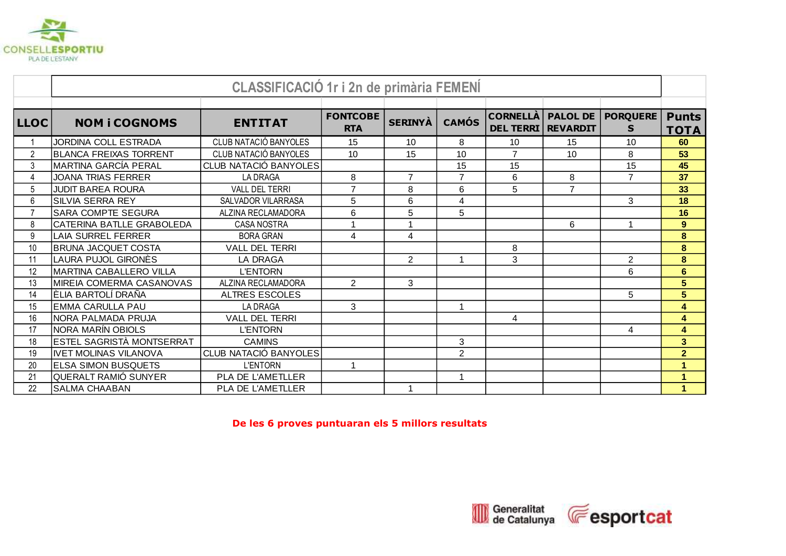

|                 |                                 | <b>CLASSIFICACIÓ 1r i 2n de primària FEMENÍ</b> |                               |                |                |                                     |                                    |                       |                             |
|-----------------|---------------------------------|-------------------------------------------------|-------------------------------|----------------|----------------|-------------------------------------|------------------------------------|-----------------------|-----------------------------|
|                 |                                 |                                                 |                               |                |                |                                     |                                    |                       |                             |
| <b>LLOC</b>     | <b>NOM i COGNOMS</b>            | <b>ENTITAT</b>                                  | <b>FONTCOBE</b><br><b>RTA</b> | <b>SERINYA</b> | <b>CAMÓS</b>   | <b>CORNELLÀ</b><br><b>DEL TERRI</b> | <b>PALOL DE</b><br><b>REVARDIT</b> | <b>PORQUERE</b><br>S. | <b>Punts</b><br><b>TOTA</b> |
|                 | JORDINA COLL ESTRADA            | CLUB NATACIÓ BANYOLES                           | 15                            | 10             | 8              | 10                                  | 15                                 | 10                    | 60                          |
| 2               | <b>BLANCA FREIXAS TORRENT</b>   | CLUB NATACIÓ BANYOLES                           | 10                            | 15             | 10             | $\overline{7}$                      | 10                                 | 8                     | 53                          |
| 3               | MARTINA GARCÍA PERAL            | CLUB NATACIÓ BANYOLES                           |                               |                | 15             | 15                                  |                                    | 15                    | 45                          |
| $\overline{4}$  | <b>JOANA TRIAS FERRER</b>       | <b>LA DRAGA</b>                                 | 8                             | $\overline{7}$ | $\overline{7}$ | 6                                   | 8                                  | $\overline{7}$        | 37                          |
| $5\phantom{.0}$ | <b>JUDIT BAREA ROURA</b>        | <b>VALL DEL TERRI</b>                           | $\overline{7}$                | 8              | 6              | 5                                   | $\overline{7}$                     |                       | 33                          |
| 6               | <b>SILVIA SERRA REY</b>         | SALVADOR VILARRASA                              | 5                             | 6              | 4              |                                     |                                    | 3                     | 18                          |
| $\overline{7}$  | <b>SARA COMPTE SEGURA</b>       | ALZINA RECLAMADORA                              | 6                             | 5              | 5              |                                     |                                    |                       | 16                          |
| 8               | CATERINA BATLLE GRABOLEDA       | <b>CASA NOSTRA</b>                              | $\overline{1}$                | 1              |                |                                     | 6                                  | 1                     | $\overline{9}$              |
| 9               | LAIA SURREL FERRER              | <b>BORA GRAN</b>                                | 4                             | $\overline{4}$ |                |                                     |                                    |                       | 8                           |
| 10              | <b>BRUNA JACQUET COSTA</b>      | <b>VALL DEL TERRI</b>                           |                               |                |                | 8                                   |                                    |                       | $\bf{8}$                    |
| 11              | LAURA PUJOL GIRONÈS             | <b>LA DRAGA</b>                                 |                               | $\overline{2}$ | 1              | 3                                   |                                    | $\overline{2}$        | $\pmb{8}$                   |
| 12              | <b>MARTINA CABALLERO VILLA</b>  | <b>L'ENTORN</b>                                 |                               |                |                |                                     |                                    | 6                     | $6\phantom{a}$              |
| 13              | <b>MIREIA COMERMA CASANOVAS</b> | ALZINA RECLAMADORA                              | 2                             | 3              |                |                                     |                                    |                       | 5                           |
| 14              | ÈLIA BARTOLÍ DRAÑA              | <b>ALTRES ESCOLES</b>                           |                               |                |                |                                     |                                    | 5                     | 5                           |
| 15              | <b>EMMA CARULLA PAU</b>         | LA DRAGA                                        | 3                             |                | 1              |                                     |                                    |                       | 4                           |
| 16              | INORA PALMADA PRUJA             | <b>VALL DEL TERRI</b>                           |                               |                |                | 4                                   |                                    |                       | 4                           |
| 17              | NORA MARÍN OBIOLS               | <b>L'ENTORN</b>                                 |                               |                |                |                                     |                                    | 4                     | $\overline{\mathbf{4}}$     |
| 18              | ESTEL SAGRISTÀ MONTSERRAT       | <b>CAMINS</b>                                   |                               |                | 3              |                                     |                                    |                       | $\overline{\mathbf{3}}$     |
| 19              | IIVET MOLINAS VILANOVA          | <b>CLUB NATACIÓ BANYOLES</b>                    |                               |                | $\overline{2}$ |                                     |                                    |                       | $\overline{2}$              |
| 20              | <b>ELSA SIMON BUSQUETS</b>      | <b>L'ENTORN</b>                                 | $\mathbf{1}$                  |                |                |                                     |                                    |                       | $\mathbf{1}$                |
| 21              | QUERALT RAMIÓ SUNYER            | <b>PLA DE L'AMETLLER</b>                        |                               |                | 1              |                                     |                                    |                       | 1                           |
| 22              | <b>SALMA CHAABAN</b>            | <b>PLA DE L'AMETLLER</b>                        |                               |                |                |                                     |                                    |                       | 1                           |

**De les 6 proves puntuaran els 5 millors resultats**

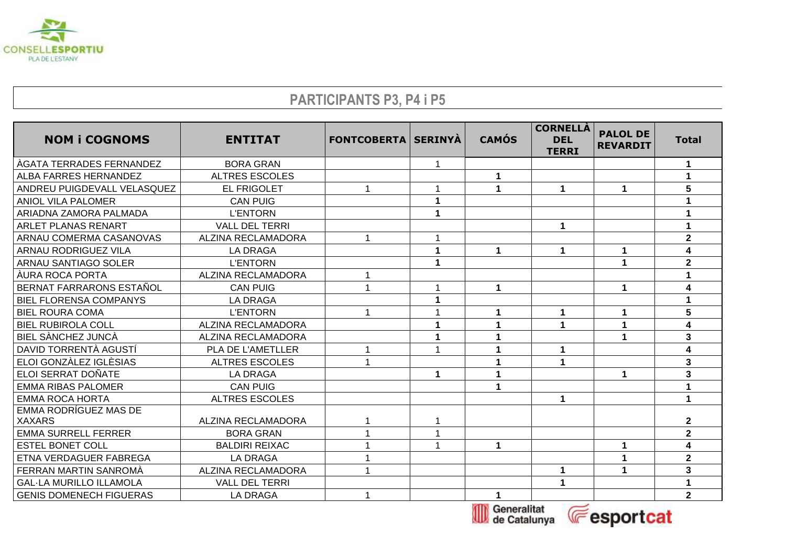

## **PARTICIPANTS P3, P4 i P5**

| <b>NOM i COGNOMS</b>            | <b>ENTITAT</b>        | <b>FONTCOBERTA   SERINYÀ</b> |             | <b>CAMÓS</b> | <b>CORNELLÀ</b><br><b>DEL</b><br><b>TERRI</b> | <b>PALOL DE</b><br><b>REVARDIT</b> | <b>Total</b>            |
|---------------------------------|-----------------------|------------------------------|-------------|--------------|-----------------------------------------------|------------------------------------|-------------------------|
| <b>AGATA TERRADES FERNANDEZ</b> | <b>BORA GRAN</b>      |                              |             |              |                                               |                                    | 1                       |
| ALBA FARRES HERNANDEZ           | <b>ALTRES ESCOLES</b> |                              |             | 1            |                                               |                                    |                         |
| ANDREU PUIGDEVALL VELASQUEZ     | <b>EL FRIGOLET</b>    |                              |             | 1            | 1                                             | $\mathbf 1$                        | 5                       |
| ANIOL VILA PALOMER              | <b>CAN PUIG</b>       |                              | $\mathbf 1$ |              |                                               |                                    |                         |
| ARIADNA ZAMORA PALMADA          | <b>L'ENTORN</b>       |                              |             |              |                                               |                                    |                         |
| ARLET PLANAS RENART             | <b>VALL DEL TERRI</b> |                              |             |              | 1                                             |                                    |                         |
| ARNAU COMERMA CASANOVAS         | ALZINA RECLAMADORA    | 1                            |             |              |                                               |                                    | $\mathbf{2}$            |
| ARNAU RODRIGUEZ VILA            | <b>LA DRAGA</b>       |                              | 1           | $\mathbf 1$  | 1                                             | 1                                  | 4                       |
| ARNAU SANTIAGO SOLER            | <b>L'ENTORN</b>       |                              | 1           |              |                                               | 1                                  | $\mathbf{2}$            |
| ÀURA ROCA PORTA                 | ALZINA RECLAMADORA    | 1                            |             |              |                                               |                                    |                         |
| BERNAT FARRARONS ESTAÑOL        | <b>CAN PUIG</b>       |                              |             | 1            |                                               | $\blacktriangleleft$               | 4                       |
| <b>BIEL FLORENSA COMPANYS</b>   | LA DRAGA              |                              |             |              |                                               |                                    |                         |
| <b>BIEL ROURA COMA</b>          | <b>L'ENTORN</b>       | 1                            |             | 1            | 1                                             | $\mathbf 1$                        | 5                       |
| <b>BIEL RUBIROLA COLL</b>       | ALZINA RECLAMADORA    |                              |             | 1            | 1                                             | 1                                  | 4                       |
| BIEL SÀNCHEZ JUNCÀ              | ALZINA RECLAMADORA    |                              | 1           | 1            |                                               | 1                                  | 3                       |
| DAVID TORRENTÀ AGUSTÍ           | PLA DE L'AMETLLER     | 1                            |             | 1            |                                               |                                    | 4                       |
| ELOI GONZÀLEZ IGLÈSIAS          | <b>ALTRES ESCOLES</b> | 1                            |             | 1            | $\blacktriangleleft$                          |                                    | $\overline{3}$          |
| <b>ELOI SERRAT DOÑATE</b>       | <b>LA DRAGA</b>       |                              | $\mathbf 1$ | 1            |                                               | 1                                  | 3                       |
| <b>EMMA RIBAS PALOMER</b>       | <b>CAN PUIG</b>       |                              |             | 1            |                                               |                                    |                         |
| <b>EMMA ROCA HORTA</b>          | <b>ALTRES ESCOLES</b> |                              |             |              | 1                                             |                                    | $\blacktriangleleft$    |
| <b>EMMA RODRÍGUEZ MAS DE</b>    |                       |                              |             |              |                                               |                                    |                         |
| <b>XAXARS</b>                   | ALZINA RECLAMADORA    |                              |             |              |                                               |                                    | $\mathbf 2$             |
| <b>EMMA SURRELL FERRER</b>      | <b>BORA GRAN</b>      |                              |             |              |                                               |                                    | $\overline{\mathbf{2}}$ |
| <b>ESTEL BONET COLL</b>         | <b>BALDIRI REIXAC</b> |                              |             | $\mathbf 1$  |                                               | $\mathbf 1$                        | 4                       |
| ETNA VERDAGUER FABREGA          | <b>LA DRAGA</b>       |                              |             |              |                                               |                                    | $\overline{\mathbf{2}}$ |
| FERRAN MARTIN SANROMA           | ALZINA RECLAMADORA    |                              |             |              |                                               |                                    | 3                       |
| <b>GAL-LA MURILLO ILLAMOLA</b>  | <b>VALL DEL TERRI</b> |                              |             |              |                                               |                                    | 1                       |
| <b>GENIS DOMENECH FIGUERAS</b>  | <b>LA DRAGA</b>       | 1                            |             | $\mathbf 1$  |                                               |                                    | 2 <sup>1</sup>          |



Generalitat **E**esportcat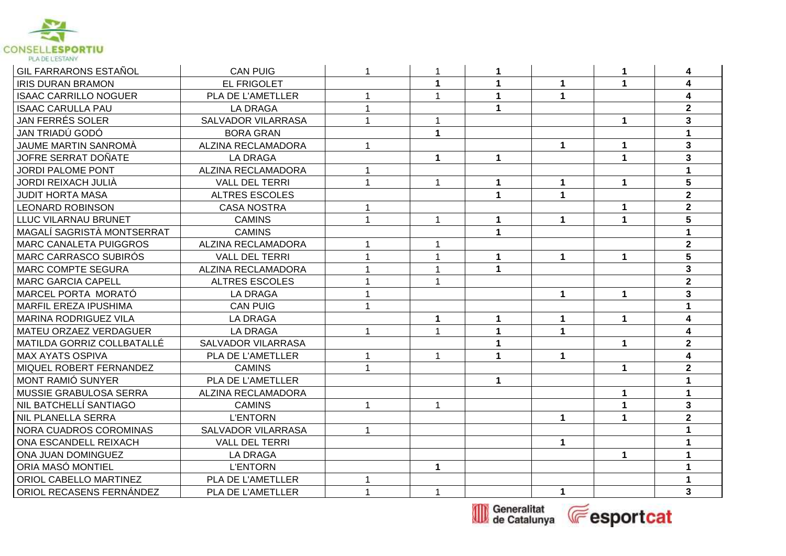

| GIL FARRARONS ESTAÑOL         | <b>CAN PUIG</b>           | 1            | -1                   | 1            |              | 1            | 4                       |
|-------------------------------|---------------------------|--------------|----------------------|--------------|--------------|--------------|-------------------------|
| <b>IRIS DURAN BRAMON</b>      | <b>EL FRIGOLET</b>        |              | $\blacktriangleleft$ | $\mathbf 1$  | $\mathbf 1$  | $\mathbf 1$  | $\overline{\mathbf{4}}$ |
| <b>ISAAC CARRILLO NOGUER</b>  | PLA DE L'AMETLLER         | 1            | $\mathbf{1}$         | $\mathbf{1}$ | $\mathbf 1$  |              | $\overline{\mathbf{4}}$ |
| <b>ISAAC CARULLA PAU</b>      | <b>LA DRAGA</b>           | 1            |                      | $\mathbf 1$  |              |              | $\overline{2}$          |
| JAN FERRÉS SOLER              | SALVADOR VILARRASA        |              | 1                    |              |              | $\mathbf 1$  | $\overline{\mathbf{3}}$ |
| JAN TRIADÚ GODÓ               | <b>BORA GRAN</b>          |              | $\mathbf 1$          |              |              |              | $\mathbf 1$             |
| JAUME MARTIN SANROMÀ          | ALZINA RECLAMADORA        | 1            |                      |              | $\mathbf{1}$ | 1            | $\overline{\mathbf{3}}$ |
| JOFRE SERRAT DOÑATE           | <b>LA DRAGA</b>           |              | $\blacktriangleleft$ | $\mathbf 1$  |              | $\mathbf{1}$ | $\overline{\mathbf{3}}$ |
| <b>JORDI PALOME PONT</b>      | ALZINA RECLAMADORA        |              |                      |              |              |              |                         |
| <b>JORDI REIXACH JULIÀ</b>    | <b>VALL DEL TERRI</b>     | $\mathbf{1}$ | $\mathbf{1}$         | $\mathbf 1$  | $\mathbf 1$  | $\mathbf 1$  | 5                       |
| <b>JUDIT HORTA MASA</b>       | <b>ALTRES ESCOLES</b>     |              |                      | $\mathbf{1}$ | $\mathbf 1$  |              | $\overline{2}$          |
| <b>LEONARD ROBINSON</b>       | <b>CASA NOSTRA</b>        | 1            |                      |              |              | $\mathbf{1}$ | $\overline{\mathbf{2}}$ |
| LLUC VILARNAU BRUNET          | <b>CAMINS</b>             | 1            | $\mathbf{1}$         | $\mathbf{1}$ | $\mathbf 1$  | $\mathbf 1$  | 5                       |
| MAGALÍ SAGRISTÀ MONTSERRAT    | <b>CAMINS</b>             |              |                      | $\mathbf 1$  |              |              | 1                       |
| <b>MARC CANALETA PUIGGROS</b> | ALZINA RECLAMADORA        |              | 1                    |              |              |              | $\overline{2}$          |
| MARC CARRASCO SUBIRÓS         | <b>VALL DEL TERRI</b>     |              | $\mathbf 1$          | 1            | $\mathbf 1$  | 1            | $5\phantom{a}$          |
| <b>MARC COMPTE SEGURA</b>     | ALZINA RECLAMADORA        |              | $\mathbf 1$          | $\mathbf{1}$ |              |              | $\overline{\mathbf{3}}$ |
| <b>MARC GARCIA CAPELL</b>     | <b>ALTRES ESCOLES</b>     |              | 1                    |              |              |              | $\overline{2}$          |
| MARCEL PORTA MORATÓ           | <b>LA DRAGA</b>           | 1            |                      |              | 1            | $\mathbf 1$  | $\overline{\mathbf{3}}$ |
| MARFIL EREZA IPUSHIMA         | <b>CAN PUIG</b>           |              |                      |              |              |              |                         |
| <b>MARINA RODRIGUEZ VILA</b>  | <b>LA DRAGA</b>           |              | 1                    | $\mathbf 1$  | $\mathbf 1$  | $\mathbf 1$  | $\overline{\mathbf{4}}$ |
| <b>MATEU ORZAEZ VERDAGUER</b> | <b>LA DRAGA</b>           | 1            | 1                    | $\mathbf{1}$ | $\mathbf{1}$ |              | $\overline{\mathbf{4}}$ |
| MATILDA GORRIZ COLLBATALLÉ    | SALVADOR VILARRASA        |              |                      | $\mathbf 1$  |              | $\mathbf 1$  | $\mathbf{2}$            |
| <b>MAX AYATS OSPIVA</b>       | PLA DE L'AMETLLER         |              | $\mathbf{1}$         | $\mathbf 1$  | $\mathbf 1$  |              | $\overline{\mathbf{4}}$ |
| MIQUEL ROBERT FERNANDEZ       | <b>CAMINS</b>             | 1            |                      |              |              | $\mathbf 1$  | $\overline{2}$          |
| MONT RAMIÓ SUNYER             | PLA DE L'AMETLLER         |              |                      | $\mathbf{1}$ |              |              | 1                       |
| MUSSIE GRABULOSA SERRA        | ALZINA RECLAMADORA        |              |                      |              |              | $\mathbf 1$  | $\blacktriangleleft$    |
| NIL BATCHELLÍ SANTIAGO        | <b>CAMINS</b>             |              | $\mathbf{1}$         |              |              | $\mathbf{1}$ | $\mathbf{3}$            |
| <b>NIL PLANELLA SERRA</b>     | <b>L'ENTORN</b>           |              |                      |              | $\mathbf{1}$ | $\mathbf{1}$ | $\overline{2}$          |
| NORA CUADROS COROMINAS        | <b>SALVADOR VILARRASA</b> | 1            |                      |              |              |              |                         |
| ONA ESCANDELL REIXACH         | <b>VALL DEL TERRI</b>     |              |                      |              | 1            |              |                         |
| ONA JUAN DOMINGUEZ            | <b>LA DRAGA</b>           |              |                      |              |              | $\mathbf 1$  | 1                       |
| ORIA MASÓ MONTIEL             | <b>L'ENTORN</b>           |              | $\blacktriangleleft$ |              |              |              | 1                       |
| ORIOL CABELLO MARTINEZ        | PLA DE L'AMETLLER         | $\mathbf{1}$ |                      |              |              |              | 1                       |
| ORIOL RECASENS FERNÁNDEZ      | PLA DE L'AMETLLER         | $\mathbf{1}$ | $\mathbf{1}$         |              | $\mathbf{1}$ |              | $\overline{\mathbf{3}}$ |



Generalitat **Eesportcat**